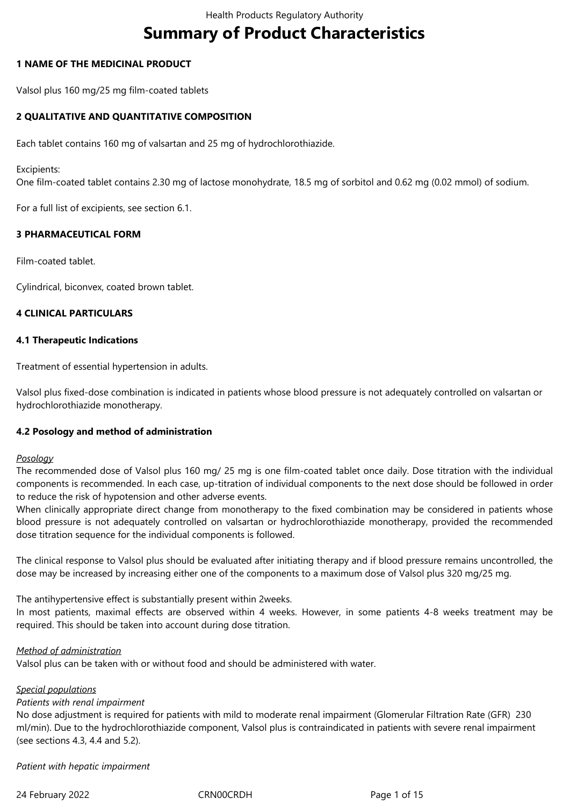# **Summary of Product Characteristics**

# **1 NAME OF THE MEDICINAL PRODUCT**

Valsol plus 160 mg/25 mg film-coated tablets

# **2 QUALITATIVE AND QUANTITATIVE COMPOSITION**

Each tablet contains 160 mg of valsartan and 25 mg of hydrochlorothiazide.

Excipients:

One film-coated tablet contains 2.30 mg of lactose monohydrate, 18.5 mg of sorbitol and 0.62 mg (0.02 mmol) of sodium.

For a full list of excipients, see section 6.1.

# **3 PHARMACEUTICAL FORM**

Film-coated tablet.

Cylindrical, biconvex, coated brown tablet.

# **4 CLINICAL PARTICULARS**

# **4.1 Therapeutic Indications**

Treatment of essential hypertension in adults.

Valsol plus fixed-dose combination is indicated in patients whose blood pressure is not adequately controlled on valsartan or hydrochlorothiazide monotherapy.

# **4.2 Posology and method of administration**

# *Posology*

The recommended dose of Valsol plus 160 mg/ 25 mg is one film-coated tablet once daily. Dose titration with the individual components is recommended. In each case, up-titration of individual components to the next dose should be followed in order to reduce the risk of hypotension and other adverse events.

When clinically appropriate direct change from monotherapy to the fixed combination may be considered in patients whose blood pressure is not adequately controlled on valsartan or hydrochlorothiazide monotherapy, provided the recommended dose titration sequence for the individual components is followed.

The clinical response to Valsol plus should be evaluated after initiating therapy and if blood pressure remains uncontrolled, the dose may be increased by increasing either one of the components to a maximum dose of Valsol plus 320 mg/25 mg.

The antihypertensive effect is substantially present within 2weeks.

In most patients, maximal effects are observed within 4 weeks. However, in some patients 4-8 weeks treatment may be required. This should be taken into account during dose titration.

# *Method of administration*

Valsol plus can be taken with or without food and should be administered with water.

# *Special populations*

# *Patients with renal impairment*

No dose adjustment is required for patients with mild to moderate renal impairment (Glomerular Filtration Rate (GFR) 230 ml/min). Due to the hydrochlorothiazide component, Valsol plus is contraindicated in patients with severe renal impairment (see sections 4.3, 4.4 and 5.2).

*Patient with hepatic impairment*

24 February 2022 CRN00CRDH Page 1 of 15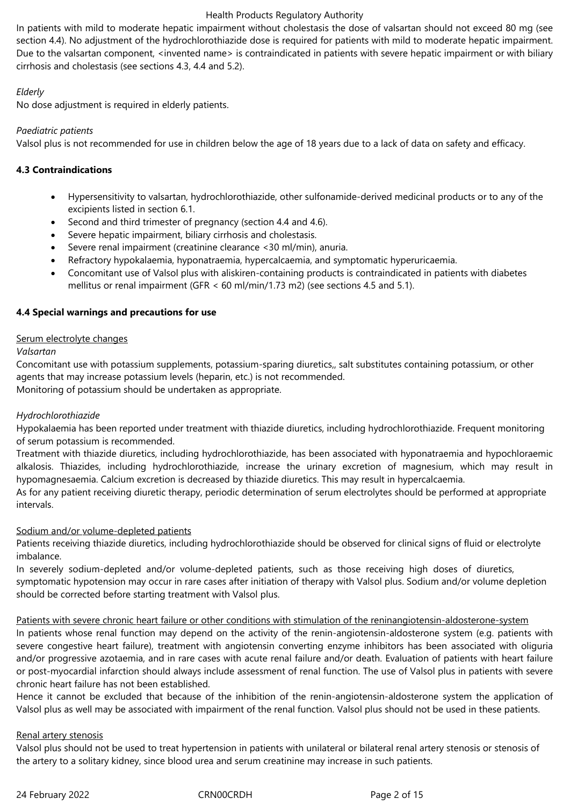In patients with mild to moderate hepatic impairment without cholestasis the dose of valsartan should not exceed 80 mg (see section 4.4). No adjustment of the hydrochlorothiazide dose is required for patients with mild to moderate hepatic impairment. Due to the valsartan component, <invented name> is contraindicated in patients with severe hepatic impairment or with biliary cirrhosis and cholestasis (see sections 4.3, 4.4 and 5.2).

# *Elderly*

No dose adjustment is required in elderly patients.

# *Paediatric patients*

Valsol plus is not recommended for use in children below the age of 18 years due to a lack of data on safety and efficacy.

# **4.3 Contraindications**

- Hypersensitivity to valsartan, hydrochlorothiazide, other sulfonamide-derived medicinal products or to any of the excipients listed in section 6.1.
- Second and third trimester of pregnancy (section 4.4 and 4.6).
- Severe hepatic impairment, biliary cirrhosis and cholestasis.
- Severe renal impairment (creatinine clearance <30 ml/min), anuria.
- Refractory hypokalaemia, hyponatraemia, hypercalcaemia, and symptomatic hyperuricaemia.
- Concomitant use of Valsol plus with aliskiren-containing products is contraindicated in patients with diabetes mellitus or renal impairment (GFR < 60 ml/min/1.73 m2) (see sections 4.5 and 5.1).

# **4.4 Special warnings and precautions for use**

# Serum electrolyte changes

# *Valsartan*

Concomitant use with potassium supplements, potassium-sparing diuretics,, salt substitutes containing potassium, or other agents that may increase potassium levels (heparin, etc.) is not recommended.

Monitoring of potassium should be undertaken as appropriate.

# *Hydrochlorothiazide*

Hypokalaemia has been reported under treatment with thiazide diuretics, including hydrochlorothiazide. Frequent monitoring of serum potassium is recommended.

Treatment with thiazide diuretics, including hydrochlorothiazide, has been associated with hyponatraemia and hypochloraemic alkalosis. Thiazides, including hydrochlorothiazide, increase the urinary excretion of magnesium, which may result in hypomagnesaemia. Calcium excretion is decreased by thiazide diuretics. This may result in hypercalcaemia.

As for any patient receiving diuretic therapy, periodic determination of serum electrolytes should be performed at appropriate intervals.

# Sodium and/or volume-depleted patients

Patients receiving thiazide diuretics, including hydrochlorothiazide should be observed for clinical signs of fluid or electrolyte imbalance.

In severely sodium-depleted and/or volume-depleted patients, such as those receiving high doses of diuretics, symptomatic hypotension may occur in rare cases after initiation of therapy with Valsol plus. Sodium and/or volume depletion should be corrected before starting treatment with Valsol plus.

Patients with severe chronic heart failure or other conditions with stimulation of the reninangiotensin-aldosterone-system In patients whose renal function may depend on the activity of the renin-angiotensin-aldosterone system (e.g. patients with severe congestive heart failure), treatment with angiotensin converting enzyme inhibitors has been associated with oliguria and/or progressive azotaemia, and in rare cases with acute renal failure and/or death. Evaluation of patients with heart failure or post-myocardial infarction should always include assessment of renal function. The use of Valsol plus in patients with severe chronic heart failure has not been established.

Hence it cannot be excluded that because of the inhibition of the renin-angiotensin-aldosterone system the application of Valsol plus as well may be associated with impairment of the renal function. Valsol plus should not be used in these patients.

# Renal artery stenosis

Valsol plus should not be used to treat hypertension in patients with unilateral or bilateral renal artery stenosis or stenosis of the artery to a solitary kidney, since blood urea and serum creatinine may increase in such patients.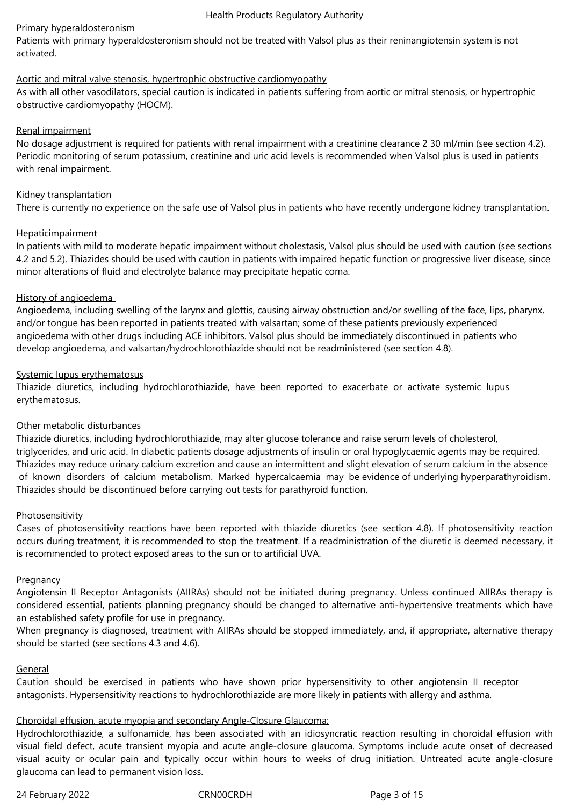# Primary hyperaldosteronism

Patients with primary hyperaldosteronism should not be treated with Valsol plus as their reninangiotensin system is not activated.

# Aortic and mitral valve stenosis, hypertrophic obstructive cardiomyopathy

As with all other vasodilators, special caution is indicated in patients suffering from aortic or mitral stenosis, or hypertrophic obstructive cardiomyopathy (HOCM).

# Renal impairment

No dosage adjustment is required for patients with renal impairment with a creatinine clearance 2 30 ml/min (see section 4.2). Periodic monitoring of serum potassium, creatinine and uric acid levels is recommended when Valsol plus is used in patients with renal impairment.

# Kidney transplantation

There is currently no experience on the safe use of Valsol plus in patients who have recently undergone kidney transplantation.

# **Hepaticimpairment**

In patients with mild to moderate hepatic impairment without cholestasis, Valsol plus should be used with caution (see sections 4.2 and 5.2). Thiazides should be used with caution in patients with impaired hepatic function or progressive liver disease, since minor alterations of fluid and electrolyte balance may precipitate hepatic coma.

# History of angioedema

Angioedema, including swelling of the larynx and glottis, causing airway obstruction and/or swelling of the face, lips, pharynx, and/or tongue has been reported in patients treated with valsartan; some of these patients previously experienced angioedema with other drugs including ACE inhibitors. Valsol plus should be immediately discontinued in patients who develop angioedema, and valsartan/hydrochlorothiazide should not be readministered (see section 4.8).

# Systemic lupus erythematosus

Thiazide diuretics, including hydrochlorothiazide, have been reported to exacerbate or activate systemic lupus erythematosus.

# Other metabolic disturbances

Thiazide diuretics, including hydrochlorothiazide, may alter glucose tolerance and raise serum levels of cholesterol, triglycerides, and uric acid. In diabetic patients dosage adjustments of insulin or oral hypoglycaemic agents may be required. Thiazides may reduce urinary calcium excretion and cause an intermittent and slight elevation of serum calcium in the absence of known disorders of calcium metabolism. Marked hypercalcaemia may be evidence of underlying hyperparathyroidism. Thiazides should be discontinued before carrying out tests for parathyroid function.

# **Photosensitivity**

Cases of photosensitivity reactions have been reported with thiazide diuretics (see section 4.8). If photosensitivity reaction occurs during treatment, it is recommended to stop the treatment. If a readministration of the diuretic is deemed necessary, it is recommended to protect exposed areas to the sun or to artificial UVA.

# **Pregnancy**

Angiotensin II Receptor Antagonists (AIIRAs) should not be initiated during pregnancy. Unless continued AIIRAs therapy is considered essential, patients planning pregnancy should be changed to alternative anti-hypertensive treatments which have an established safety profile for use in pregnancy.

When pregnancy is diagnosed, treatment with AIIRAs should be stopped immediately, and, if appropriate, alternative therapy should be started (see sections 4.3 and 4.6).

# General

Caution should be exercised in patients who have shown prior hypersensitivity to other angiotensin II receptor antagonists. Hypersensitivity reactions to hydrochlorothiazide are more likely in patients with allergy and asthma.

# Choroidal effusion, acute myopia and secondary Angle-Closure Glaucoma:

Hydrochlorothiazide, a sulfonamide, has been associated with an idiosyncratic reaction resulting in choroidal effusion with visual field defect, acute transient myopia and acute angle-closure glaucoma. Symptoms include acute onset of decreased visual acuity or ocular pain and typically occur within hours to weeks of drug initiation. Untreated acute angle-closure glaucoma can lead to permanent vision loss.

24 February 2022 CRN00CRDH Page 3 of 15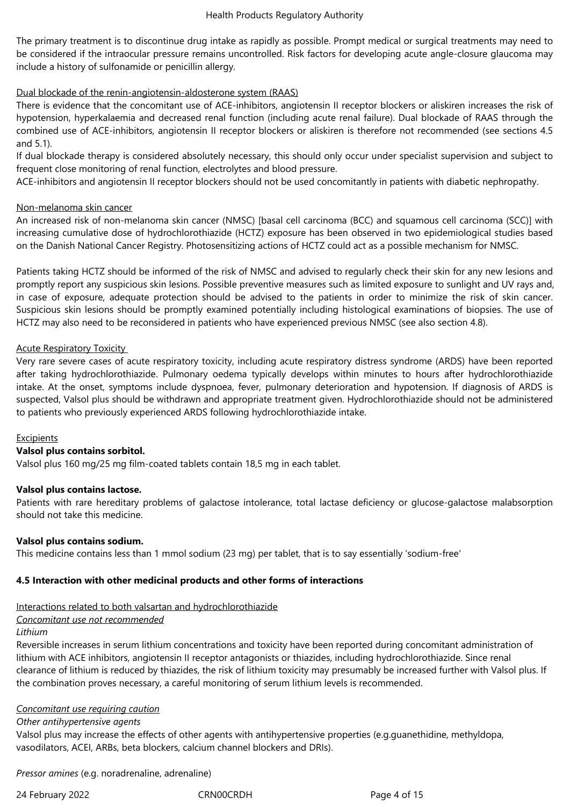The primary treatment is to discontinue drug intake as rapidly as possible. Prompt medical or surgical treatments may need to be considered if the intraocular pressure remains uncontrolled. Risk factors for developing acute angle-closure glaucoma may include a history of sulfonamide or penicillin allergy.

# Dual blockade of the renin-angiotensin-aldosterone system (RAAS)

There is evidence that the concomitant use of ACE-inhibitors, angiotensin II receptor blockers or aliskiren increases the risk of hypotension, hyperkalaemia and decreased renal function (including acute renal failure). Dual blockade of RAAS through the combined use of ACE-inhibitors, angiotensin II receptor blockers or aliskiren is therefore not recommended (see sections 4.5 and 5.1).

If dual blockade therapy is considered absolutely necessary, this should only occur under specialist supervision and subject to frequent close monitoring of renal function, electrolytes and blood pressure.

ACE-inhibitors and angiotensin II receptor blockers should not be used concomitantly in patients with diabetic nephropathy.

#### Non-melanoma skin cancer

An increased risk of non-melanoma skin cancer (NMSC) [basal cell carcinoma (BCC) and squamous cell carcinoma (SCC)] with increasing cumulative dose of hydrochlorothiazide (HCTZ) exposure has been observed in two epidemiological studies based on the Danish National Cancer Registry. Photosensitizing actions of HCTZ could act as a possible mechanism for NMSC.

Patients taking HCTZ should be informed of the risk of NMSC and advised to regularly check their skin for any new lesions and promptly report any suspicious skin lesions. Possible preventive measures such as limited exposure to sunlight and UV rays and, in case of exposure, adequate protection should be advised to the patients in order to minimize the risk of skin cancer. Suspicious skin lesions should be promptly examined potentially including histological examinations of biopsies. The use of HCTZ may also need to be reconsidered in patients who have experienced previous NMSC (see also section 4.8).

# Acute Respiratory Toxicity

Very rare severe cases of acute respiratory toxicity, including acute respiratory distress syndrome (ARDS) have been reported after taking hydrochlorothiazide. Pulmonary oedema typically develops within minutes to hours after hydrochlorothiazide intake. At the onset, symptoms include dyspnoea, fever, pulmonary deterioration and hypotension. If diagnosis of ARDS is suspected, Valsol plus should be withdrawn and appropriate treatment given. Hydrochlorothiazide should not be administered to patients who previously experienced ARDS following hydrochlorothiazide intake.

# Excipients

# **Valsol plus contains sorbitol.**

Valsol plus 160 mg/25 mg film-coated tablets contain 18,5 mg in each tablet.

#### **Valsol plus contains lactose.**

Patients with rare hereditary problems of galactose intolerance, total lactase deficiency or glucose-galactose malabsorption should not take this medicine.

# **Valsol plus contains sodium.**

This medicine contains less than 1 mmol sodium (23 mg) per tablet, that is to say essentially 'sodium-free'

# **4.5 Interaction with other medicinal products and other forms of interactions**

# Interactions related to both valsartan and hydrochlorothiazide

# *Concomitant use not recommended*

# *Lithium*

Reversible increases in serum lithium concentrations and toxicity have been reported during concomitant administration of lithium with ACE inhibitors, angiotensin II receptor antagonists or thiazides, including hydrochlorothiazide. Since renal clearance of lithium is reduced by thiazides, the risk of lithium toxicity may presumably be increased further with Valsol plus. If the combination proves necessary, a careful monitoring of serum lithium levels is recommended.

#### *Concomitant use requiring caution*

#### *Other antihypertensive agents*

Valsol plus may increase the effects of other agents with antihypertensive properties (e.g.guanethidine, methyldopa, vasodilators, ACEI, ARBs, beta blockers, calcium channel blockers and DRIs).

*Pressor amines* (e.g. noradrenaline, adrenaline)

24 February 2022 CRN00CRDH Page 4 of 15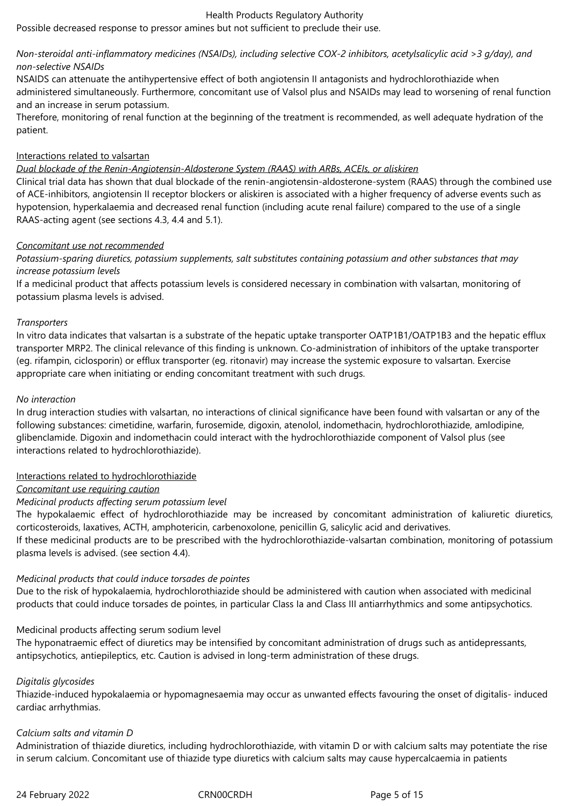Possible decreased response to pressor amines but not sufficient to preclude their use.

# *Non-steroidal anti-inflammatory medicines (NSAIDs), including selective COX-2 inhibitors, acetylsalicylic acid >3 g/day), and non-selective NSAIDs*

NSAIDS can attenuate the antihypertensive effect of both angiotensin II antagonists and hydrochlorothiazide when administered simultaneously. Furthermore, concomitant use of Valsol plus and NSAIDs may lead to worsening of renal function and an increase in serum potassium.

Therefore, monitoring of renal function at the beginning of the treatment is recommended, as well adequate hydration of the patient.

# Interactions related to valsartan

# *Dual blockade of the Renin-Angiotensin-Aldosterone System (RAAS) with ARBs, ACEIs, or aliskiren*

Clinical trial data has shown that dual blockade of the renin-angiotensin-aldosterone-system (RAAS) through the combined use of ACE-inhibitors, angiotensin II receptor blockers or aliskiren is associated with a higher frequency of adverse events such as hypotension, hyperkalaemia and decreased renal function (including acute renal failure) compared to the use of a single RAAS-acting agent (see sections 4.3, 4.4 and 5.1).

# *Concomitant use not recommended*

*Potassium-sparing diuretics, potassium supplements, salt substitutes containing potassium and other substances that may increase potassium levels*

If a medicinal product that affects potassium levels is considered necessary in combination with valsartan, monitoring of potassium plasma levels is advised.

# *Transporters*

In vitro data indicates that valsartan is a substrate of the hepatic uptake transporter OATP1B1/OATP1B3 and the hepatic efflux transporter MRP2. The clinical relevance of this finding is unknown. Co-administration of inhibitors of the uptake transporter (eg. rifampin, ciclosporin) or efflux transporter (eg. ritonavir) may increase the systemic exposure to valsartan. Exercise appropriate care when initiating or ending concomitant treatment with such drugs.

# *No interaction*

In drug interaction studies with valsartan, no interactions of clinical significance have been found with valsartan or any of the following substances: cimetidine, warfarin, furosemide, digoxin, atenolol, indomethacin, hydrochlorothiazide, amlodipine, glibenclamide. Digoxin and indomethacin could interact with the hydrochlorothiazide component of Valsol plus (see interactions related to hydrochlorothiazide).

# Interactions related to hydrochlorothiazide

# *Concomitant use requiring caution*

# *Medicinal products affecting serum potassium level*

The hypokalaemic effect of hydrochlorothiazide may be increased by concomitant administration of kaliuretic diuretics, corticosteroids, laxatives, ACTH, amphotericin, carbenoxolone, penicillin G, salicylic acid and derivatives.

If these medicinal products are to be prescribed with the hydrochlorothiazide-valsartan combination, monitoring of potassium plasma levels is advised. (see section 4.4).

# *Medicinal products that could induce torsades de pointes*

Due to the risk of hypokalaemia, hydrochlorothiazide should be administered with caution when associated with medicinal products that could induce torsades de pointes, in particular Class Ia and Class III antiarrhythmics and some antipsychotics.

# Medicinal products affecting serum sodium level

The hyponatraemic effect of diuretics may be intensified by concomitant administration of drugs such as antidepressants, antipsychotics, antiepileptics, etc. Caution is advised in long-term administration of these drugs.

# *Digitalis glycosides*

Thiazide-induced hypokalaemia or hypomagnesaemia may occur as unwanted effects favouring the onset of digitalis- induced cardiac arrhythmias.

# *Calcium salts and vitamin D*

Administration of thiazide diuretics, including hydrochlorothiazide, with vitamin D or with calcium salts may potentiate the rise in serum calcium. Concomitant use of thiazide type diuretics with calcium salts may cause hypercalcaemia in patients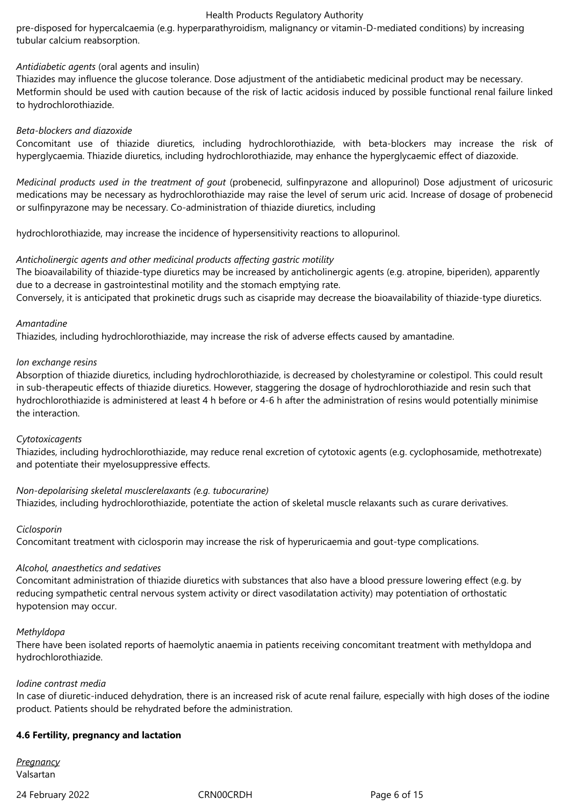pre-disposed for hypercalcaemia (e.g. hyperparathyroidism, malignancy or vitamin-D-mediated conditions) by increasing tubular calcium reabsorption.

# *Antidiabetic agents* (oral agents and insulin)

Thiazides may influence the glucose tolerance. Dose adjustment of the antidiabetic medicinal product may be necessary. Metformin should be used with caution because of the risk of lactic acidosis induced by possible functional renal failure linked to hydrochlorothiazide.

### *Beta-blockers and diazoxide*

Concomitant use of thiazide diuretics, including hydrochlorothiazide, with beta-blockers may increase the risk of hyperglycaemia. Thiazide diuretics, including hydrochlorothiazide, may enhance the hyperglycaemic effect of diazoxide.

*Medicinal products used in the treatment of gout* (probenecid, sulfinpyrazone and allopurinol) Dose adjustment of uricosuric medications may be necessary as hydrochlorothiazide may raise the level of serum uric acid. Increase of dosage of probenecid or sulfinpyrazone may be necessary. Co-administration of thiazide diuretics, including

hydrochlorothiazide, may increase the incidence of hypersensitivity reactions to allopurinol.

#### *Anticholinergic agents and other medicinal products affecting gastric motility*

The bioavailability of thiazide-type diuretics may be increased by anticholinergic agents (e.g. atropine, biperiden), apparently due to a decrease in gastrointestinal motility and the stomach emptying rate.

Conversely, it is anticipated that prokinetic drugs such as cisapride may decrease the bioavailability of thiazide-type diuretics.

#### *Amantadine*

Thiazides, including hydrochlorothiazide, may increase the risk of adverse effects caused by amantadine.

#### *Ion exchange resins*

Absorption of thiazide diuretics, including hydrochlorothiazide, is decreased by cholestyramine or colestipol. This could result in sub-therapeutic effects of thiazide diuretics. However, staggering the dosage of hydrochlorothiazide and resin such that hydrochlorothiazide is administered at least 4 h before or 4-6 h after the administration of resins would potentially minimise the interaction.

#### *Cytotoxicagents*

Thiazides, including hydrochlorothiazide, may reduce renal excretion of cytotoxic agents (e.g. cyclophosamide, methotrexate) and potentiate their myelosuppressive effects.

# *Non-depolarising skeletal musclerelaxants (e.g. tubocurarine)*

Thiazides, including hydrochlorothiazide, potentiate the action of skeletal muscle relaxants such as curare derivatives.

# *Ciclosporin*

Concomitant treatment with ciclosporin may increase the risk of hyperuricaemia and gout-type complications.

# *Alcohol, anaesthetics and sedatives*

Concomitant administration of thiazide diuretics with substances that also have a blood pressure lowering effect (e.g. by reducing sympathetic central nervous system activity or direct vasodilatation activity) may potentiation of orthostatic hypotension may occur.

#### *Methyldopa*

There have been isolated reports of haemolytic anaemia in patients receiving concomitant treatment with methyldopa and hydrochlorothiazide.

#### *Iodine contrast media*

In case of diuretic-induced dehydration, there is an increased risk of acute renal failure, especially with high doses of the iodine product. Patients should be rehydrated before the administration.

# **4.6 Fertility, pregnancy and lactation**

*Pregnancy* Valsartan

24 February 2022 CRN00CRDH Page 6 of 15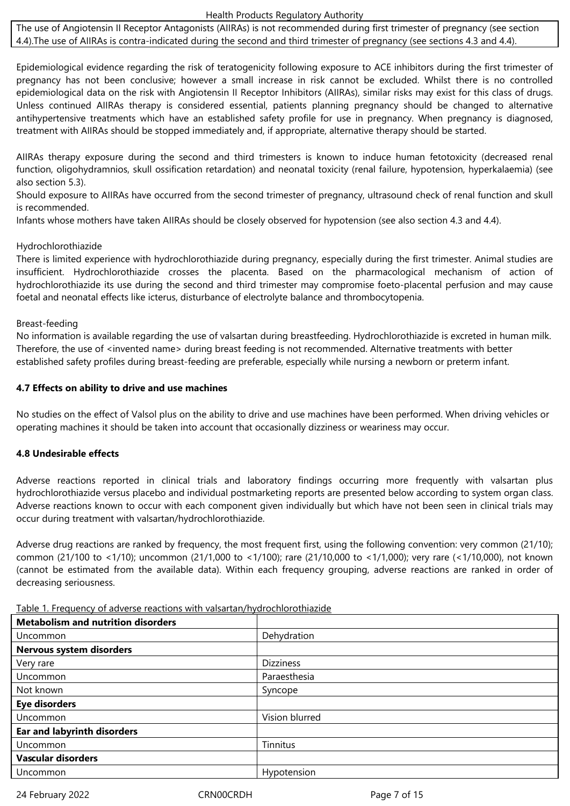The use of Angiotensin II Receptor Antagonists (AIIRAs) is not recommended during first trimester of pregnancy (see section 4.4).The use of AIIRAs is contra-indicated during the second and third trimester of pregnancy (see sections 4.3 and 4.4).

Epidemiological evidence regarding the risk of teratogenicity following exposure to ACE inhibitors during the first trimester of pregnancy has not been conclusive; however a small increase in risk cannot be excluded. Whilst there is no controlled epidemiological data on the risk with Angiotensin II Receptor Inhibitors (AIIRAs), similar risks may exist for this class of drugs. Unless continued AIIRAs therapy is considered essential, patients planning pregnancy should be changed to alternative antihypertensive treatments which have an established safety profile for use in pregnancy. When pregnancy is diagnosed, treatment with AIIRAs should be stopped immediately and, if appropriate, alternative therapy should be started.

AIIRAs therapy exposure during the second and third trimesters is known to induce human fetotoxicity (decreased renal function, oligohydramnios, skull ossification retardation) and neonatal toxicity (renal failure, hypotension, hyperkalaemia) (see also section 5.3).

Should exposure to AIIRAs have occurred from the second trimester of pregnancy, ultrasound check of renal function and skull is recommended.

Infants whose mothers have taken AIIRAs should be closely observed for hypotension (see also section 4.3 and 4.4).

# Hydrochlorothiazide

There is limited experience with hydrochlorothiazide during pregnancy, especially during the first trimester. Animal studies are insufficient. Hydrochlorothiazide crosses the placenta. Based on the pharmacological mechanism of action of hydrochlorothiazide its use during the second and third trimester may compromise foeto-placental perfusion and may cause foetal and neonatal effects like icterus, disturbance of electrolyte balance and thrombocytopenia.

# Breast-feeding

No information is available regarding the use of valsartan during breastfeeding. Hydrochlorothiazide is excreted in human milk. Therefore, the use of <invented name> during breast feeding is not recommended. Alternative treatments with better established safety profiles during breast-feeding are preferable, especially while nursing a newborn or preterm infant.

# **4.7 Effects on ability to drive and use machines**

No studies on the effect of Valsol plus on the ability to drive and use machines have been performed. When driving vehicles or operating machines it should be taken into account that occasionally dizziness or weariness may occur.

# **4.8 Undesirable effects**

Adverse reactions reported in clinical trials and laboratory findings occurring more frequently with valsartan plus hydrochlorothiazide versus placebo and individual postmarketing reports are presented below according to system organ class. Adverse reactions known to occur with each component given individually but which have not been seen in clinical trials may occur during treatment with valsartan/hydrochlorothiazide.

Adverse drug reactions are ranked by frequency, the most frequent first, using the following convention: very common (21/10); common (21/100 to <1/10); uncommon (21/1,000 to <1/100); rare (21/10,000 to <1/1,000); very rare (<1/10,000), not known (cannot be estimated from the available data). Within each frequency grouping, adverse reactions are ranked in order of decreasing seriousness.

| <b>Metabolism and nutrition disorders</b> |                  |
|-------------------------------------------|------------------|
| Uncommon                                  | Dehydration      |
| Nervous system disorders                  |                  |
| Very rare                                 | <b>Dizziness</b> |
| Uncommon                                  | Paraesthesia     |
| Not known                                 | Syncope          |
| <b>Eye disorders</b>                      |                  |
| Uncommon                                  | Vision blurred   |
| <b>Ear and labyrinth disorders</b>        |                  |
| Uncommon                                  | Tinnitus         |
| <b>Vascular disorders</b>                 |                  |
| Uncommon                                  | Hypotension      |

Table 1. Frequency of adverse reactions with valsartan/hydrochlorothiazide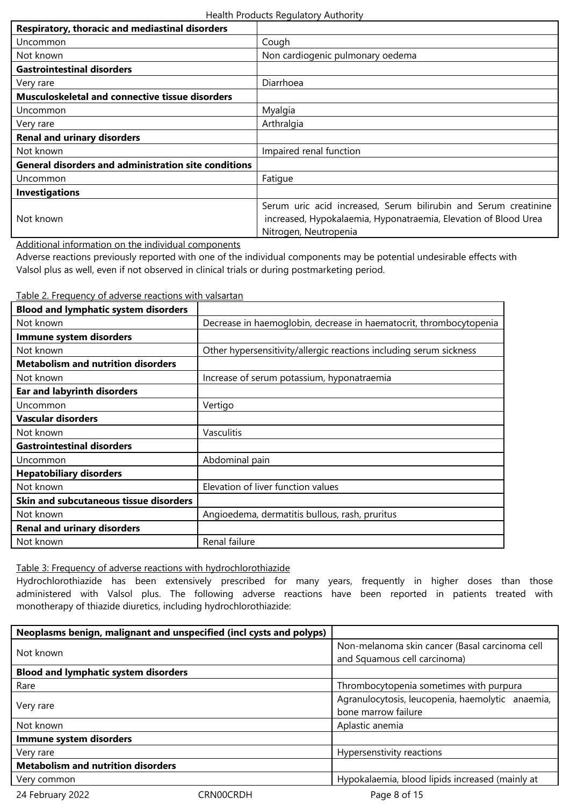| Respiratory, thoracic and mediastinal disorders                                                                                                                                                                                   |                                                                                                                                                             |
|-----------------------------------------------------------------------------------------------------------------------------------------------------------------------------------------------------------------------------------|-------------------------------------------------------------------------------------------------------------------------------------------------------------|
| Uncommon                                                                                                                                                                                                                          | Cough                                                                                                                                                       |
| Not known                                                                                                                                                                                                                         | Non cardiogenic pulmonary oedema                                                                                                                            |
| <b>Gastrointestinal disorders</b>                                                                                                                                                                                                 |                                                                                                                                                             |
| Very rare                                                                                                                                                                                                                         | Diarrhoea                                                                                                                                                   |
| <b>Musculoskeletal and connective tissue disorders</b>                                                                                                                                                                            |                                                                                                                                                             |
| Uncommon                                                                                                                                                                                                                          | Myalgia                                                                                                                                                     |
| Very rare                                                                                                                                                                                                                         | Arthralgia                                                                                                                                                  |
| <b>Renal and urinary disorders</b>                                                                                                                                                                                                |                                                                                                                                                             |
| Not known                                                                                                                                                                                                                         | Impaired renal function                                                                                                                                     |
| <b>General disorders and administration site conditions</b>                                                                                                                                                                       |                                                                                                                                                             |
| Uncommon                                                                                                                                                                                                                          | Fatigue                                                                                                                                                     |
| <b>Investigations</b>                                                                                                                                                                                                             |                                                                                                                                                             |
| Not known                                                                                                                                                                                                                         | Serum uric acid increased, Serum bilirubin and Serum creatinine<br>increased, Hypokalaemia, Hyponatraemia, Elevation of Blood Urea<br>Nitrogen, Neutropenia |
| $\mathbf{A}$ . The contract of the contract of the contract of the contract of the contract of the contract of the contract of the contract of the contract of the contract of the contract of the contract of the contract of th |                                                                                                                                                             |

Additional information on the individual components

Adverse reactions previously reported with one of the individual components may be potential undesirable effects with Valsol plus as well, even if not observed in clinical trials or during postmarketing period.

| <b>Blood and lymphatic system disorders</b> |                                                                    |
|---------------------------------------------|--------------------------------------------------------------------|
| Not known                                   | Decrease in haemoglobin, decrease in haematocrit, thrombocytopenia |
| Immune system disorders                     |                                                                    |
| Not known                                   | Other hypersensitivity/allergic reactions including serum sickness |
| <b>Metabolism and nutrition disorders</b>   |                                                                    |
| Not known                                   | Increase of serum potassium, hyponatraemia                         |
| <b>Ear and labyrinth disorders</b>          |                                                                    |
| Uncommon                                    | Vertigo                                                            |
| Vascular disorders                          |                                                                    |
| Not known                                   | Vasculitis                                                         |
| <b>Gastrointestinal disorders</b>           |                                                                    |
| Uncommon                                    | Abdominal pain                                                     |
| <b>Hepatobiliary disorders</b>              |                                                                    |
| Not known                                   | Elevation of liver function values                                 |
| Skin and subcutaneous tissue disorders      |                                                                    |
| Not known                                   | Angioedema, dermatitis bullous, rash, pruritus                     |
| <b>Renal and urinary disorders</b>          |                                                                    |
| Not known                                   | Renal failure                                                      |

Table 2. Frequency of adverse reactions with valsartan

Table 3: Frequency of adverse reactions with hydrochlorothiazide

Hydrochlorothiazide has been extensively prescribed for many years, frequently in higher doses than those administered with Valsol plus. The following adverse reactions have been reported in patients treated with monotherapy of thiazide diuretics, including hydrochlorothiazide:

| Neoplasms benign, malignant and unspecified (incl cysts and polyps) |           |                                                  |
|---------------------------------------------------------------------|-----------|--------------------------------------------------|
| Not known                                                           |           | Non-melanoma skin cancer (Basal carcinoma cell   |
|                                                                     |           | and Squamous cell carcinoma)                     |
| <b>Blood and lymphatic system disorders</b>                         |           |                                                  |
| Rare                                                                |           | Thrombocytopenia sometimes with purpura          |
| Very rare                                                           |           | Agranulocytosis, leucopenia, haemolytic anaemia, |
|                                                                     |           | bone marrow failure                              |
| Not known                                                           |           | Aplastic anemia                                  |
| Immune system disorders                                             |           |                                                  |
| Very rare                                                           |           | Hypersenstivity reactions                        |
| <b>Metabolism and nutrition disorders</b>                           |           |                                                  |
| Very common                                                         |           | Hypokalaemia, blood lipids increased (mainly at  |
| 24 February 2022                                                    | CRN00CRDH | Page 8 of 15                                     |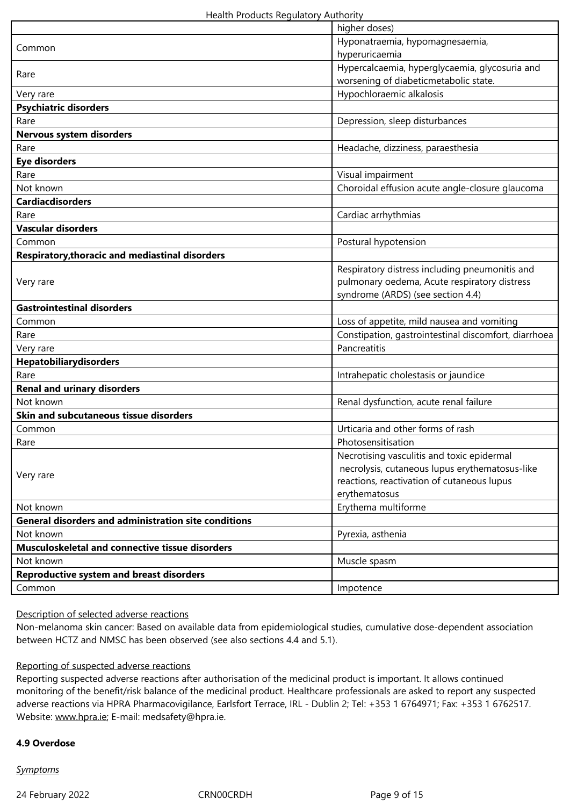|                                                             | higher doses)                                        |
|-------------------------------------------------------------|------------------------------------------------------|
| Common                                                      | Hyponatraemia, hypomagnesaemia,                      |
|                                                             | hyperuricaemia                                       |
| Rare                                                        | Hypercalcaemia, hyperglycaemia, glycosuria and       |
|                                                             | worsening of diabeticmetabolic state.                |
| Very rare                                                   | Hypochloraemic alkalosis                             |
| <b>Psychiatric disorders</b>                                |                                                      |
| Rare                                                        | Depression, sleep disturbances                       |
| Nervous system disorders                                    |                                                      |
| Rare                                                        | Headache, dizziness, paraesthesia                    |
| <b>Eye disorders</b>                                        |                                                      |
| Rare                                                        | Visual impairment                                    |
| Not known                                                   | Choroidal effusion acute angle-closure glaucoma      |
| <b>Cardiacdisorders</b>                                     |                                                      |
| Rare                                                        | Cardiac arrhythmias                                  |
| <b>Vascular disorders</b>                                   |                                                      |
| Common                                                      | Postural hypotension                                 |
| <b>Respiratory, thoracic and mediastinal disorders</b>      |                                                      |
|                                                             | Respiratory distress including pneumonitis and       |
| Very rare                                                   | pulmonary oedema, Acute respiratory distress         |
|                                                             | syndrome (ARDS) (see section 4.4)                    |
| <b>Gastrointestinal disorders</b>                           |                                                      |
| Common                                                      | Loss of appetite, mild nausea and vomiting           |
| Rare                                                        | Constipation, gastrointestinal discomfort, diarrhoea |
| Very rare                                                   | Pancreatitis                                         |
| Hepatobiliarydisorders                                      |                                                      |
| Rare                                                        | Intrahepatic cholestasis or jaundice                 |
| <b>Renal and urinary disorders</b>                          |                                                      |
| Not known                                                   | Renal dysfunction, acute renal failure               |
| Skin and subcutaneous tissue disorders                      |                                                      |
| Common                                                      | Urticaria and other forms of rash                    |
| Rare                                                        | Photosensitisation                                   |
|                                                             | Necrotising vasculitis and toxic epidermal           |
| Very rare                                                   | necrolysis, cutaneous lupus erythematosus-like       |
|                                                             | reactions, reactivation of cutaneous lupus           |
|                                                             | erythematosus                                        |
| Not known                                                   | Erythema multiforme                                  |
| <b>General disorders and administration site conditions</b> |                                                      |
| Not known                                                   | Pyrexia, asthenia                                    |
| Musculoskeletal and connective tissue disorders             |                                                      |
| Not known                                                   | Muscle spasm                                         |
| <b>Reproductive system and breast disorders</b>             |                                                      |
| Common                                                      | Impotence                                            |

# Description of selected adverse reactions

Non-melanoma skin cancer: Based on available data from epidemiological studies, cumulative dose-dependent association between HCTZ and NMSC has been observed (see also sections 4.4 and 5.1).

#### Reporting of suspected adverse reactions

Reporting suspected adverse reactions after authorisation of the medicinal product is important. It allows continued monitoring of the benefit/risk balance of the medicinal product. Healthcare professionals are asked to report any suspected adverse reactions via HPRA Pharmacovigilance, Earlsfort Terrace, IRL - Dublin 2; Tel: +353 1 6764971; Fax: +353 1 6762517. Website: www.hpra.ie; E-mail: medsafety@hpra.ie.

### **4.9 Overdose**

*Symptoms*

24 February 2022 CRN00CRDH 24 February 2022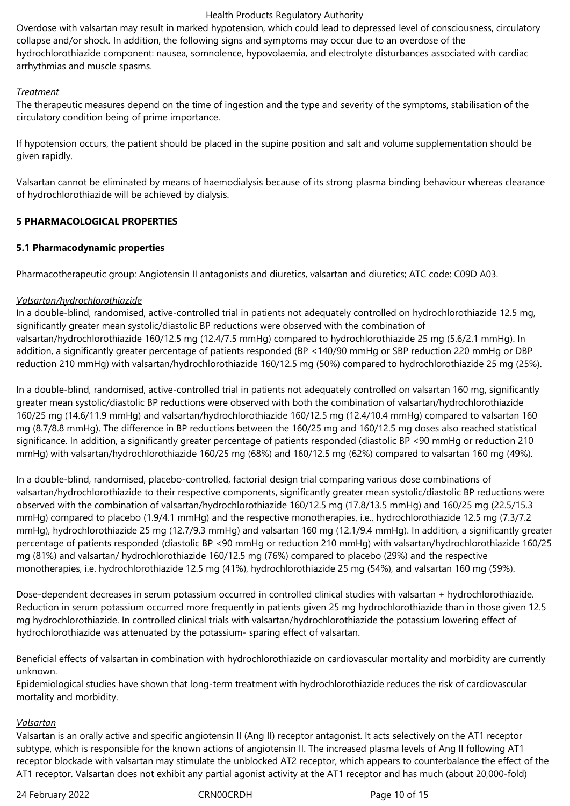Overdose with valsartan may result in marked hypotension, which could lead to depressed level of consciousness, circulatory collapse and/or shock. In addition, the following signs and symptoms may occur due to an overdose of the hydrochlorothiazide component: nausea, somnolence, hypovolaemia, and electrolyte disturbances associated with cardiac arrhythmias and muscle spasms.

# *Treatment*

The therapeutic measures depend on the time of ingestion and the type and severity of the symptoms, stabilisation of the circulatory condition being of prime importance.

If hypotension occurs, the patient should be placed in the supine position and salt and volume supplementation should be given rapidly.

Valsartan cannot be eliminated by means of haemodialysis because of its strong plasma binding behaviour whereas clearance of hydrochlorothiazide will be achieved by dialysis.

# **5 PHARMACOLOGICAL PROPERTIES**

# **5.1 Pharmacodynamic properties**

Pharmacotherapeutic group: Angiotensin II antagonists and diuretics, valsartan and diuretics; ATC code: C09D A03.

# *Valsartan/hydrochlorothiazide*

In a double-blind, randomised, active-controlled trial in patients not adequately controlled on hydrochlorothiazide 12.5 mg, significantly greater mean systolic/diastolic BP reductions were observed with the combination of valsartan/hydrochlorothiazide 160/12.5 mg (12.4/7.5 mmHg) compared to hydrochlorothiazide 25 mg (5.6/2.1 mmHg). In addition, a significantly greater percentage of patients responded (BP <140/90 mmHg or SBP reduction 220 mmHg or DBP reduction 210 mmHg) with valsartan/hydrochlorothiazide 160/12.5 mg (50%) compared to hydrochlorothiazide 25 mg (25%).

In a double-blind, randomised, active-controlled trial in patients not adequately controlled on valsartan 160 mg, significantly greater mean systolic/diastolic BP reductions were observed with both the combination of valsartan/hydrochlorothiazide 160/25 mg (14.6/11.9 mmHg) and valsartan/hydrochlorothiazide 160/12.5 mg (12.4/10.4 mmHg) compared to valsartan 160 mg (8.7/8.8 mmHg). The difference in BP reductions between the 160/25 mg and 160/12.5 mg doses also reached statistical significance. In addition, a significantly greater percentage of patients responded (diastolic BP <90 mmHg or reduction 210 mmHg) with valsartan/hydrochlorothiazide 160/25 mg (68%) and 160/12.5 mg (62%) compared to valsartan 160 mg (49%).

In a double-blind, randomised, placebo-controlled, factorial design trial comparing various dose combinations of valsartan/hydrochlorothiazide to their respective components, significantly greater mean systolic/diastolic BP reductions were observed with the combination of valsartan/hydrochlorothiazide 160/12.5 mg (17.8/13.5 mmHg) and 160/25 mg (22.5/15.3 mmHg) compared to placebo (1.9/4.1 mmHg) and the respective monotherapies, i.e., hydrochlorothiazide 12.5 mg (7.3/7.2 mmHg), hydrochlorothiazide 25 mg (12.7/9.3 mmHg) and valsartan 160 mg (12.1/9.4 mmHg). In addition, a significantly greater percentage of patients responded (diastolic BP <90 mmHg or reduction 210 mmHg) with valsartan/hydrochlorothiazide 160/25 mg (81%) and valsartan/ hydrochlorothiazide 160/12.5 mg (76%) compared to placebo (29%) and the respective monotherapies, i.e. hydrochlorothiazide 12.5 mg (41%), hydrochlorothiazide 25 mg (54%), and valsartan 160 mg (59%).

Dose-dependent decreases in serum potassium occurred in controlled clinical studies with valsartan + hydrochlorothiazide. Reduction in serum potassium occurred more frequently in patients given 25 mg hydrochlorothiazide than in those given 12.5 mg hydrochlorothiazide. In controlled clinical trials with valsartan/hydrochlorothiazide the potassium lowering effect of hydrochlorothiazide was attenuated by the potassium- sparing effect of valsartan.

Beneficial effects of valsartan in combination with hydrochlorothiazide on cardiovascular mortality and morbidity are currently unknown.

Epidemiological studies have shown that long-term treatment with hydrochlorothiazide reduces the risk of cardiovascular mortality and morbidity.

# *Valsartan*

Valsartan is an orally active and specific angiotensin II (Ang II) receptor antagonist. It acts selectively on the AT1 receptor subtype, which is responsible for the known actions of angiotensin II. The increased plasma levels of Ang II following AT1 receptor blockade with valsartan may stimulate the unblocked AT2 receptor, which appears to counterbalance the effect of the AT1 receptor. Valsartan does not exhibit any partial agonist activity at the AT1 receptor and has much (about 20,000-fold)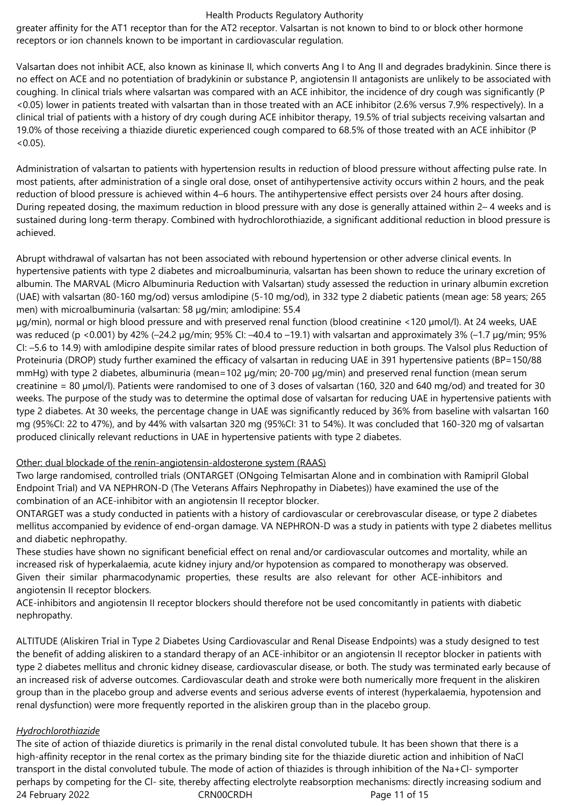greater affinity for the AT1 receptor than for the AT2 receptor. Valsartan is not known to bind to or block other hormone receptors or ion channels known to be important in cardiovascular regulation.

Valsartan does not inhibit ACE, also known as kininase II, which converts Ang I to Ang II and degrades bradykinin. Since there is no effect on ACE and no potentiation of bradykinin or substance P, angiotensin II antagonists are unlikely to be associated with coughing. In clinical trials where valsartan was compared with an ACE inhibitor, the incidence of dry cough was significantly (P <0.05) lower in patients treated with valsartan than in those treated with an ACE inhibitor (2.6% versus 7.9% respectively). In a clinical trial of patients with a history of dry cough during ACE inhibitor therapy, 19.5% of trial subjects receiving valsartan and 19.0% of those receiving a thiazide diuretic experienced cough compared to 68.5% of those treated with an ACE inhibitor (P  $< 0.05$ ).

Administration of valsartan to patients with hypertension results in reduction of blood pressure without affecting pulse rate. In most patients, after administration of a single oral dose, onset of antihypertensive activity occurs within 2 hours, and the peak reduction of blood pressure is achieved within 4–6 hours. The antihypertensive effect persists over 24 hours after dosing. During repeated dosing, the maximum reduction in blood pressure with any dose is generally attained within 2– 4 weeks and is sustained during long-term therapy. Combined with hydrochlorothiazide, a significant additional reduction in blood pressure is achieved.

Abrupt withdrawal of valsartan has not been associated with rebound hypertension or other adverse clinical events. In hypertensive patients with type 2 diabetes and microalbuminuria, valsartan has been shown to reduce the urinary excretion of albumin. The MARVAL (Micro Albuminuria Reduction with Valsartan) study assessed the reduction in urinary albumin excretion (UAE) with valsartan (80-160 mg/od) versus amlodipine (5-10 mg/od), in 332 type 2 diabetic patients (mean age: 58 years; 265 men) with microalbuminuria (valsartan: 58 µg/min; amlodipine: 55.4

µg/min), normal or high blood pressure and with preserved renal function (blood creatinine <120 µmol/l). At 24 weeks, UAE was reduced (p <0.001) by 42% (-24.2 µg/min; 95% CI: -40.4 to -19.1) with valsartan and approximately 3% (-1.7 µg/min; 95% CI: –5.6 to 14.9) with amlodipine despite similar rates of blood pressure reduction in both groups. The Valsol plus Reduction of Proteinuria (DROP) study further examined the efficacy of valsartan in reducing UAE in 391 hypertensive patients (BP=150/88 mmHg) with type 2 diabetes, albuminuria (mean=102 µg/min; 20-700 µg/min) and preserved renal function (mean serum creatinine = 80 µmol/l). Patients were randomised to one of 3 doses of valsartan (160, 320 and 640 mg/od) and treated for 30 weeks. The purpose of the study was to determine the optimal dose of valsartan for reducing UAE in hypertensive patients with type 2 diabetes. At 30 weeks, the percentage change in UAE was significantly reduced by 36% from baseline with valsartan 160 mg (95%CI: 22 to 47%), and by 44% with valsartan 320 mg (95%CI: 31 to 54%). It was concluded that 160-320 mg of valsartan produced clinically relevant reductions in UAE in hypertensive patients with type 2 diabetes.

# Other: dual blockade of the renin-angiotensin-aldosterone system (RAAS)

Two large randomised, controlled trials (ONTARGET (ONgoing Telmisartan Alone and in combination with Ramipril Global Endpoint Trial) and VA NEPHRON-D (The Veterans Affairs Nephropathy in Diabetes)) have examined the use of the combination of an ACE-inhibitor with an angiotensin II receptor blocker.

ONTARGET was a study conducted in patients with a history of cardiovascular or cerebrovascular disease, or type 2 diabetes mellitus accompanied by evidence of end-organ damage. VA NEPHRON-D was a study in patients with type 2 diabetes mellitus and diabetic nephropathy.

These studies have shown no significant beneficial effect on renal and/or cardiovascular outcomes and mortality, while an increased risk of hyperkalaemia, acute kidney injury and/or hypotension as compared to monotherapy was observed. Given their similar pharmacodynamic properties, these results are also relevant for other ACE-inhibitors and angiotensin II receptor blockers.

ACE-inhibitors and angiotensin II receptor blockers should therefore not be used concomitantly in patients with diabetic nephropathy.

ALTITUDE (Aliskiren Trial in Type 2 Diabetes Using Cardiovascular and Renal Disease Endpoints) was a study designed to test the benefit of adding aliskiren to a standard therapy of an ACE-inhibitor or an angiotensin II receptor blocker in patients with type 2 diabetes mellitus and chronic kidney disease, cardiovascular disease, or both. The study was terminated early because of an increased risk of adverse outcomes. Cardiovascular death and stroke were both numerically more frequent in the aliskiren group than in the placebo group and adverse events and serious adverse events of interest (hyperkalaemia, hypotension and renal dysfunction) were more frequently reported in the aliskiren group than in the placebo group.

# *Hydrochlorothiazide*

24 February 2022 CRN00CRDH Page 11 of 15 The site of action of thiazide diuretics is primarily in the renal distal convoluted tubule. It has been shown that there is a high-affinity receptor in the renal cortex as the primary binding site for the thiazide diuretic action and inhibition of NaCl transport in the distal convoluted tubule. The mode of action of thiazides is through inhibition of the Na+Cl- symporter perhaps by competing for the Cl- site, thereby affecting electrolyte reabsorption mechanisms: directly increasing sodium and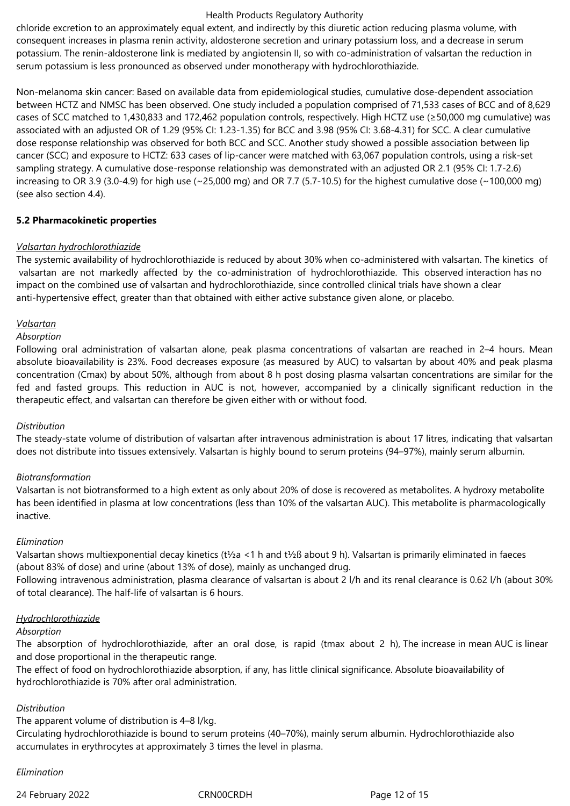chloride excretion to an approximately equal extent, and indirectly by this diuretic action reducing plasma volume, with consequent increases in plasma renin activity, aldosterone secretion and urinary potassium loss, and a decrease in serum potassium. The renin-aldosterone link is mediated by angiotensin II, so with co-administration of valsartan the reduction in serum potassium is less pronounced as observed under monotherapy with hydrochlorothiazide.

Non-melanoma skin cancer: Based on available data from epidemiological studies, cumulative dose-dependent association between HCTZ and NMSC has been observed. One study included a population comprised of 71,533 cases of BCC and of 8,629 cases of SCC matched to 1,430,833 and 172,462 population controls, respectively. High HCTZ use (≥50,000 mg cumulative) was associated with an adjusted OR of 1.29 (95% CI: 1.23-1.35) for BCC and 3.98 (95% CI: 3.68-4.31) for SCC. A clear cumulative dose response relationship was observed for both BCC and SCC. Another study showed a possible association between lip cancer (SCC) and exposure to HCTZ: 633 cases of lip-cancer were matched with 63,067 population controls, using a risk-set sampling strategy. A cumulative dose-response relationship was demonstrated with an adjusted OR 2.1 (95% CI: 1.7-2.6) increasing to OR 3.9 (3.0-4.9) for high use ( $\sim$ 25,000 mg) and OR 7.7 (5.7-10.5) for the highest cumulative dose ( $\sim$ 100,000 mg) (see also section 4.4).

# **5.2 Pharmacokinetic properties**

#### *Valsartan hydrochlorothiazide*

The systemic availability of hydrochlorothiazide is reduced by about 30% when co-administered with valsartan. The kinetics of valsartan are not markedly affected by the co-administration of hydrochlorothiazide. This observed interaction has no impact on the combined use of valsartan and hydrochlorothiazide, since controlled clinical trials have shown a clear anti-hypertensive effect, greater than that obtained with either active substance given alone, or placebo.

#### *Valsartan*

#### *Absorption*

Following oral administration of valsartan alone, peak plasma concentrations of valsartan are reached in 2–4 hours. Mean absolute bioavailability is 23%. Food decreases exposure (as measured by AUC) to valsartan by about 40% and peak plasma concentration (Cmax) by about 50%, although from about 8 h post dosing plasma valsartan concentrations are similar for the fed and fasted groups. This reduction in AUC is not, however, accompanied by a clinically significant reduction in the therapeutic effect, and valsartan can therefore be given either with or without food.

# *Distribution*

The steady-state volume of distribution of valsartan after intravenous administration is about 17 litres, indicating that valsartan does not distribute into tissues extensively. Valsartan is highly bound to serum proteins (94–97%), mainly serum albumin.

# *Biotransformation*

Valsartan is not biotransformed to a high extent as only about 20% of dose is recovered as metabolites. A hydroxy metabolite has been identified in plasma at low concentrations (less than 10% of the valsartan AUC). This metabolite is pharmacologically inactive.

#### *Elimination*

Valsartan shows multiexponential decay kinetics (t½a <1 h and t½ß about 9 h). Valsartan is primarily eliminated in faeces (about 83% of dose) and urine (about 13% of dose), mainly as unchanged drug.

Following intravenous administration, plasma clearance of valsartan is about 2 l/h and its renal clearance is 0.62 l/h (about 30% of total clearance). The half-life of valsartan is 6 hours.

#### *Hydrochlorothiazide*

#### *Absorption*

The absorption of hydrochlorothiazide, after an oral dose, is rapid (tmax about 2 h), The increase in mean AUC is linear and dose proportional in the therapeutic range.

The effect of food on hydrochlorothiazide absorption, if any, has little clinical significance. Absolute bioavailability of hydrochlorothiazide is 70% after oral administration.

#### *Distribution*

The apparent volume of distribution is 4–8 l/kg.

Circulating hydrochlorothiazide is bound to serum proteins (40–70%), mainly serum albumin. Hydrochlorothiazide also accumulates in erythrocytes at approximately 3 times the level in plasma.

#### *Elimination*

24 February 2022 CRN00CRDH Page 12 of 15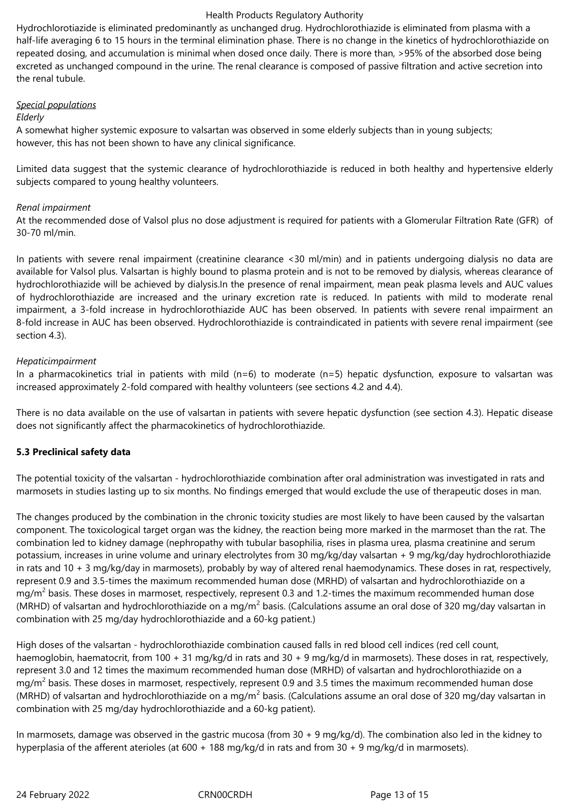Hydrochlorotiazide is eliminated predominantly as unchanged drug. Hydrochlorothiazide is eliminated from plasma with a half-life averaging 6 to 15 hours in the terminal elimination phase. There is no change in the kinetics of hydrochlorothiazide on repeated dosing, and accumulation is minimal when dosed once daily. There is more than, >95% of the absorbed dose being excreted as unchanged compound in the urine. The renal clearance is composed of passive filtration and active secretion into the renal tubule.

# *Special populations*

# *Elderly*

A somewhat higher systemic exposure to valsartan was observed in some elderly subjects than in young subjects; however, this has not been shown to have any clinical significance.

Limited data suggest that the systemic clearance of hydrochlorothiazide is reduced in both healthy and hypertensive elderly subjects compared to young healthy volunteers.

# *Renal impairment*

At the recommended dose of Valsol plus no dose adjustment is required for patients with a Glomerular Filtration Rate (GFR) of 30-70 ml/min.

In patients with severe renal impairment (creatinine clearance <30 ml/min) and in patients undergoing dialysis no data are available for Valsol plus. Valsartan is highly bound to plasma protein and is not to be removed by dialysis, whereas clearance of hydrochlorothiazide will be achieved by dialysis.In the presence of renal impairment, mean peak plasma levels and AUC values of hydrochlorothiazide are increased and the urinary excretion rate is reduced. In patients with mild to moderate renal impairment, a 3-fold increase in hydrochlorothiazide AUC has been observed. In patients with severe renal impairment an 8-fold increase in AUC has been observed. Hydrochlorothiazide is contraindicated in patients with severe renal impairment (see section 4.3).

# *Hepaticimpairment*

In a pharmacokinetics trial in patients with mild (n=6) to moderate (n=5) hepatic dysfunction, exposure to valsartan was increased approximately 2-fold compared with healthy volunteers (see sections 4.2 and 4.4).

There is no data available on the use of valsartan in patients with severe hepatic dysfunction (see section 4.3). Hepatic disease does not significantly affect the pharmacokinetics of hydrochlorothiazide.

# **5.3 Preclinical safety data**

The potential toxicity of the valsartan - hydrochlorothiazide combination after oral administration was investigated in rats and marmosets in studies lasting up to six months. No findings emerged that would exclude the use of therapeutic doses in man.

The changes produced by the combination in the chronic toxicity studies are most likely to have been caused by the valsartan component. The toxicological target organ was the kidney, the reaction being more marked in the marmoset than the rat. The combination led to kidney damage (nephropathy with tubular basophilia, rises in plasma urea, plasma creatinine and serum potassium, increases in urine volume and urinary electrolytes from 30 mg/kg/day valsartan + 9 mg/kg/day hydrochlorothiazide in rats and 10 + 3 mg/kg/day in marmosets), probably by way of altered renal haemodynamics. These doses in rat, respectively, represent 0.9 and 3.5-times the maximum recommended human dose (MRHD) of valsartan and hydrochlorothiazide on a mg/m<sup>2</sup> basis. These doses in marmoset, respectively, represent 0.3 and 1.2-times the maximum recommended human dose (MRHD) of valsartan and hydrochlorothiazide on a mg/m<sup>2</sup> basis. (Calculations assume an oral dose of 320 mg/day valsartan in combination with 25 mg/day hydrochlorothiazide and a 60-kg patient.)

High doses of the valsartan - hydrochlorothiazide combination caused falls in red blood cell indices (red cell count, haemoglobin, haematocrit, from 100 + 31 mg/kg/d in rats and 30 + 9 mg/kg/d in marmosets). These doses in rat, respectively, represent 3.0 and 12 times the maximum recommended human dose (MRHD) of valsartan and hydrochlorothiazide on a mg/m<sup>2</sup> basis. These doses in marmoset, respectively, represent 0.9 and 3.5 times the maximum recommended human dose (MRHD) of valsartan and hydrochlorothiazide on a mg/m<sup>2</sup> basis. (Calculations assume an oral dose of 320 mg/day valsartan in combination with 25 mg/day hydrochlorothiazide and a 60-kg patient).

In marmosets, damage was observed in the gastric mucosa (from 30 + 9 mg/kg/d). The combination also led in the kidney to hyperplasia of the afferent aterioles (at 600 + 188 mg/kg/d in rats and from 30 + 9 mg/kg/d in marmosets).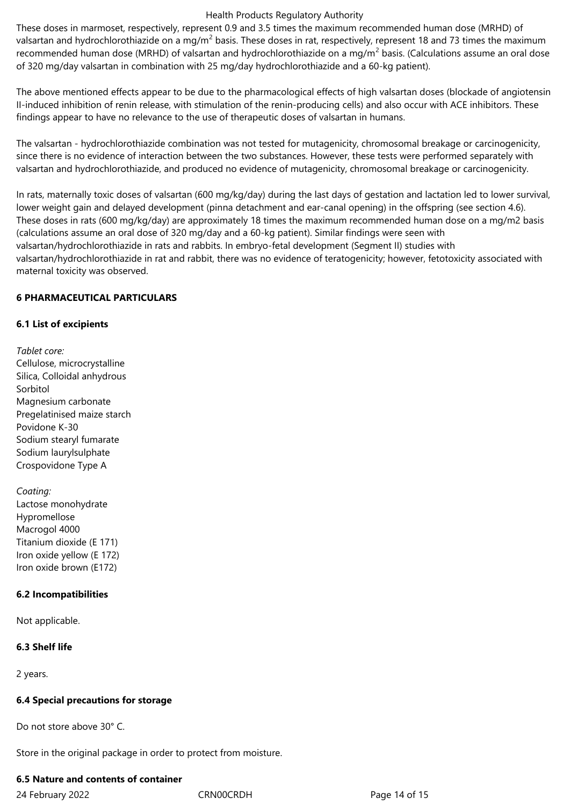These doses in marmoset, respectively, represent 0.9 and 3.5 times the maximum recommended human dose (MRHD) of valsartan and hydrochlorothiazide on a mg/m<sup>2</sup> basis. These doses in rat, respectively, represent 18 and 73 times the maximum recommended human dose (MRHD) of valsartan and hydrochlorothiazide on a mg/m<sup>2</sup> basis. (Calculations assume an oral dose of 320 mg/day valsartan in combination with 25 mg/day hydrochlorothiazide and a 60-kg patient).

The above mentioned effects appear to be due to the pharmacological effects of high valsartan doses (blockade of angiotensin II-induced inhibition of renin release, with stimulation of the renin-producing cells) and also occur with ACE inhibitors. These findings appear to have no relevance to the use of therapeutic doses of valsartan in humans.

The valsartan - hydrochlorothiazide combination was not tested for mutagenicity, chromosomal breakage or carcinogenicity, since there is no evidence of interaction between the two substances. However, these tests were performed separately with valsartan and hydrochlorothiazide, and produced no evidence of mutagenicity, chromosomal breakage or carcinogenicity.

In rats, maternally toxic doses of valsartan (600 mg/kg/day) during the last days of gestation and lactation led to lower survival, lower weight gain and delayed development (pinna detachment and ear-canal opening) in the offspring (see section 4.6). These doses in rats (600 mg/kg/day) are approximately 18 times the maximum recommended human dose on a mg/m2 basis (calculations assume an oral dose of 320 mg/day and a 60-kg patient). Similar findings were seen with valsartan/hydrochlorothiazide in rats and rabbits. In embryo-fetal development (Segment II) studies with valsartan/hydrochlorothiazide in rat and rabbit, there was no evidence of teratogenicity; however, fetotoxicity associated with maternal toxicity was observed.

# **6 PHARMACEUTICAL PARTICULARS**

# **6.1 List of excipients**

*Tablet core:* Cellulose, microcrystalline Silica, Colloidal anhydrous Sorbitol Magnesium carbonate Pregelatinised maize starch Povidone K-30 Sodium stearyl fumarate Sodium laurylsulphate Crospovidone Type A

*Coating:* Lactose monohydrate Hypromellose Macrogol 4000 Titanium dioxide (E 171) Iron oxide yellow (E 172) Iron oxide brown (E172)

# **6.2 Incompatibilities**

Not applicable.

# **6.3 Shelf life**

2 years.

# **6.4 Special precautions for storage**

Do not store above 30° C.

Store in the original package in order to protect from moisture.

# **6.5 Nature and contents of container**

24 February 2022 CRN00CRDH Page 14 of 15